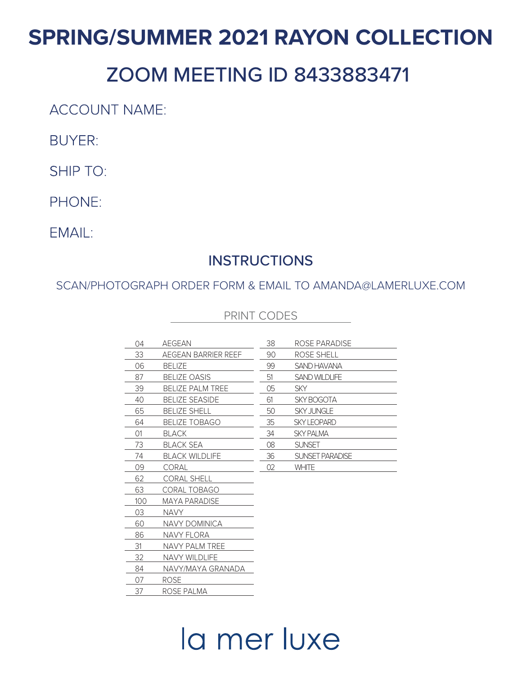## **SPRING/SUMMER 2021 RAYON COLLECTION**

## ZOOM MEETING ID 8433883471

**ACCOUNT NAME:** 

**BUYER:** 

SHIP TO:

PHONE:

EMAIL:

## **INSTRUCTIONS**

SCAN/PHOTOGRAPH ORDER FORM & EMAIL TO AMANDA@LAMERLUXE.COM

|  |  | PRINT CODES |  |
|--|--|-------------|--|
|--|--|-------------|--|

| 04  | AEGEAN                  | 38 | ROSE PARADISE      |
|-----|-------------------------|----|--------------------|
| 33  | AEGEAN BARRIER REEF     | 90 | ROSE SHELL         |
| 06  | <b>BELIZE</b>           | 99 | SAND HAVANA        |
| 87  | <b>BELIZE OASIS</b>     | 51 | SAND WILDLIFE      |
| 39  | <b>BELIZE PALM TREE</b> | 05 | <b>SKY</b>         |
| 40  | <b>BELIZE SEASIDE</b>   | 61 | <b>SKY BOGOTA</b>  |
| 65  | <b>BELIZE SHELL</b>     | 50 | <b>SKY JUNGLE</b>  |
| 64  | <b>BELIZE TOBAGO</b>    | 35 | <b>SKY LEOPARD</b> |
| 01  | <b>BLACK</b>            | 34 | <b>SKY PALMA</b>   |
| 73  | <b>BLACK SEA</b>        | 08 | <b>SUNSET</b>      |
| 74  | <b>BLACK WILDLIFE</b>   | 36 | SUNSET PARADISE    |
| 09  | <b>CORAL</b>            | 02 | <b>WHITE</b>       |
| 62  | <b>CORAL SHELL</b>      |    |                    |
| 63  | CORAL TOBAGO            |    |                    |
| 100 | <b>MAYA PARADISE</b>    |    |                    |
| 03  | <b>NAVY</b>             |    |                    |
| 60  | <b>NAVY DOMINICA</b>    |    |                    |
| 86  | NAVY FLORA              |    |                    |
| 31  | NAVY PALM TREE          |    |                    |
| 32  | <b>NAVY WILDLIFE</b>    |    |                    |
| 84  | NAVY/MAYA GRANADA       |    |                    |
| 07  | ROSE                    |    |                    |
| 37  | ROSE PALMA              |    |                    |

## la mer luxe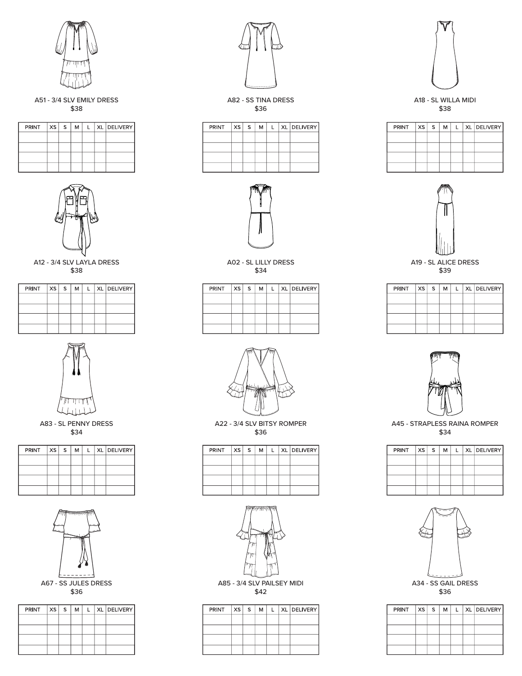

A51 - 3/4 SLV EMILY DRESS \$38

| PRINT | XS   S | M |  | XL DELIVERY |
|-------|--------|---|--|-------------|
|       |        |   |  |             |
|       |        |   |  |             |
|       |        |   |  |             |
|       |        |   |  |             |



A12 - 3/4 SLV LAYLA DRESS \$38

| PRINT $ XS S $ |  | M | $\mathbf{I}$ | XL DELIVERY |
|----------------|--|---|--------------|-------------|
|                |  |   |              |             |
|                |  |   |              |             |
|                |  |   |              |             |
|                |  |   |              |             |



A83 - SL PENNY DRESS \$34

| PRINT | xs s | м |  | L   XL   DELIVERY |
|-------|------|---|--|-------------------|
|       |      |   |  |                   |
|       |      |   |  |                   |
|       |      |   |  |                   |
|       |      |   |  |                   |



| PRINT | $XS \mid S$ | м |  | XL DELIVERY |
|-------|-------------|---|--|-------------|
|       |             |   |  |             |
|       |             |   |  |             |
|       |             |   |  |             |
|       |             |   |  |             |



A82 - SS TINA DRESS \$36

| $PRINT$ $ XS S$ |  | м | $\mathbf{L}$ | XL DELIVERY |
|-----------------|--|---|--------------|-------------|
|                 |  |   |              |             |
|                 |  |   |              |             |
|                 |  |   |              |             |
|                 |  |   |              |             |



A02 - SL LILLY DRESS \$34

| PRINT | $xs \mid s$ | м | Ι. | XL DELIVERY |
|-------|-------------|---|----|-------------|
|       |             |   |    |             |
|       |             |   |    |             |
|       |             |   |    |             |
|       |             |   |    |             |



A22 - 3/4 SLV BITSY ROMPER \$36

| PRINT XSS |  | м |  | L   XL   DELIVERY |
|-----------|--|---|--|-------------------|
|           |  |   |  |                   |
|           |  |   |  |                   |
|           |  |   |  |                   |
|           |  |   |  |                   |



A85 - 3/4 SLV PAILSEY MIDI \$42

| PRINT $ XS S $ |  | M |  | L   XL   DELIVERY |
|----------------|--|---|--|-------------------|
|                |  |   |  |                   |
|                |  |   |  |                   |
|                |  |   |  |                   |
|                |  |   |  |                   |



A18 - SL WILLA MIDI \$38

| PRINT | $ xs $ s | М |  | XL DELIVERY |
|-------|----------|---|--|-------------|
|       |          |   |  |             |
|       |          |   |  |             |
|       |          |   |  |             |
|       |          |   |  |             |



A19 - SL ALICE DRESS \$39

| PRINT | xs s | м | L. | XL DELIVERY |
|-------|------|---|----|-------------|
|       |      |   |    |             |
|       |      |   |    |             |
|       |      |   |    |             |
|       |      |   |    |             |



A45 - STRAPLESS RAINA ROMPER \$34

| PRINT   XS | $S$ . | М | ı. | XL DELIVERY |
|------------|-------|---|----|-------------|
|            |       |   |    |             |
|            |       |   |    |             |
|            |       |   |    |             |
|            |       |   |    |             |



| PRINT | $XS$ $S$ | м |  | XL DELIVERY |
|-------|----------|---|--|-------------|
|       |          |   |  |             |
|       |          |   |  |             |
|       |          |   |  |             |
|       |          |   |  |             |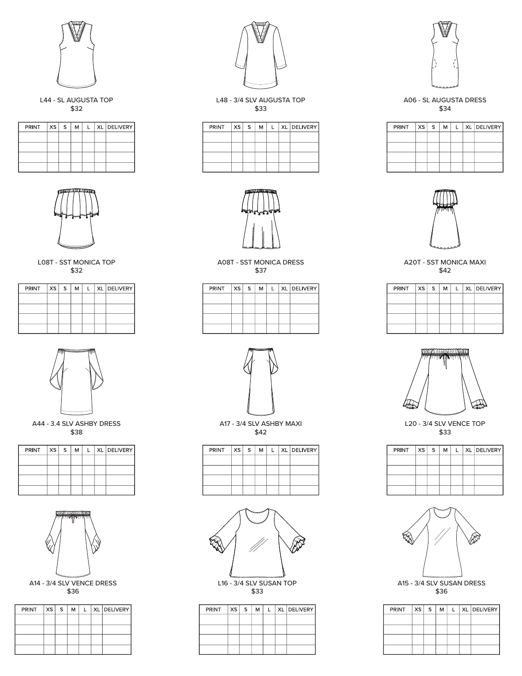

L44 - SL AUGUSTA TOP \$32

| PRINT XS S |  | M | $\mathbf{L}$ | XL DELIVERY |
|------------|--|---|--------------|-------------|
|            |  |   |              |             |
|            |  |   |              |             |
|            |  |   |              |             |
|            |  |   |              |             |



L08T - SST MONICA TOP \$32

| $PRINT$ $ XS S$ |  | м | $\mathbf{I}$ | XL DELIVERY |
|-----------------|--|---|--------------|-------------|
|                 |  |   |              |             |
|                 |  |   |              |             |
|                 |  |   |              |             |
|                 |  |   |              |             |



A44 - 3.4 SLV ASHBY DRESS \$38

| PRINT XS S |  | м | L | XL DELIVERY |
|------------|--|---|---|-------------|
|            |  |   |   |             |
|            |  |   |   |             |
|            |  |   |   |             |
|            |  |   |   |             |



A14 - 3/4 SLV VENCE DRESS \$36

| PRINT   XS   S |  | м | $\mathbf{L}$ | XL DELIVERY |
|----------------|--|---|--------------|-------------|
|                |  |   |              |             |
|                |  |   |              |             |
|                |  |   |              |             |
|                |  |   |              |             |



L48 - 3/4 SLV AUGUSTA TOP \$33

| PRINT | x <sub>S</sub> | S. | м | L. | XL   DELIVERY |
|-------|----------------|----|---|----|---------------|
|       |                |    |   |    |               |
|       |                |    |   |    |               |
|       |                |    |   |    |               |
|       |                |    |   |    |               |



A08T - SST MONICA DRESS \$37

| PRINT | $xs \,   \, s$ | м |  | XL DELIVERY |
|-------|----------------|---|--|-------------|
|       |                |   |  |             |
|       |                |   |  |             |
|       |                |   |  |             |
|       |                |   |  |             |



A17 - 3/4 SLV ASHBY MAXI \$42

| $PRINT$ $ XS S$ |  | м |  | L   XL   DELIVERY |
|-----------------|--|---|--|-------------------|
|                 |  |   |  |                   |
|                 |  |   |  |                   |
|                 |  |   |  |                   |
|                 |  |   |  |                   |



L16 - 3/4 SLV SUSAN TOP \$33

| PRINT XS S |  | м | $\mathsf{L}$ : | XL DELIVERY |
|------------|--|---|----------------|-------------|
|            |  |   |                |             |
|            |  |   |                |             |
|            |  |   |                |             |
|            |  |   |                |             |



A06 - SL AUGUSTA DRESS \$34

| PRINT XS S |  | м | $\mathbf{L}$ | XL DELIVERY |
|------------|--|---|--------------|-------------|
|            |  |   |              |             |
|            |  |   |              |             |
|            |  |   |              |             |
|            |  |   |              |             |



A20T - SST MONICA MAXI \$42

| PRINT XS S |  | м |  | L   XL   DELIVERY |
|------------|--|---|--|-------------------|
|            |  |   |  |                   |
|            |  |   |  |                   |
|            |  |   |  |                   |
|            |  |   |  |                   |



L20 - 3/4 SLV VENCE TOP \$33

| PRINT | xs | S | М | L | XL DELIVERY |
|-------|----|---|---|---|-------------|
|       |    |   |   |   |             |
|       |    |   |   |   |             |
|       |    |   |   |   |             |
|       |    |   |   |   |             |



\$36

| PRINT | XS   S | м |  | XL   DELIVERY |
|-------|--------|---|--|---------------|
|       |        |   |  |               |
|       |        |   |  |               |
|       |        |   |  |               |
|       |        |   |  |               |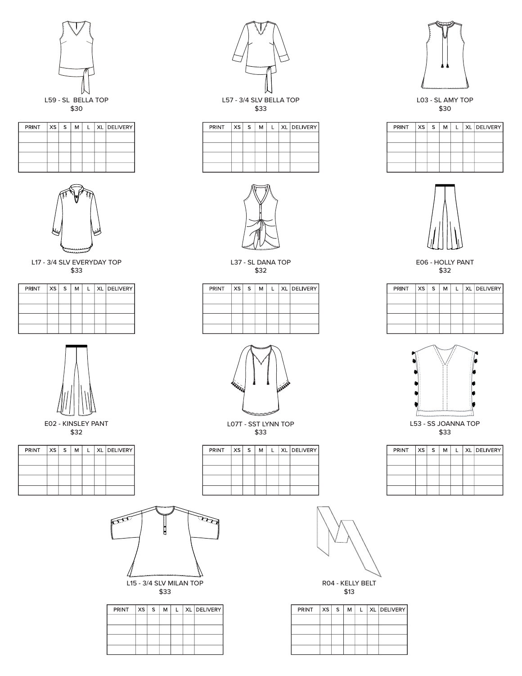

| PRINT | $xs \mid s$ | м | I. | XL DELIVERY |
|-------|-------------|---|----|-------------|
|       |             |   |    |             |
|       |             |   |    |             |
|       |             |   |    |             |
|       |             |   |    |             |



L17 - 3/4 SLV EVERYDAY TOP \$33

| PRINT $ xs s $ |  | M | $\mathbf{1}$ | XL DELIVERY |
|----------------|--|---|--------------|-------------|
|                |  |   |              |             |
|                |  |   |              |             |
|                |  |   |              |             |
|                |  |   |              |             |



E02 - KINSLEY PANT \$32

| PRINT | xs s | M | $\perp$ | XL DELIVERY |
|-------|------|---|---------|-------------|
|       |      |   |         |             |
|       |      |   |         |             |
|       |      |   |         |             |
|       |      |   |         |             |



| PRINT | xs  s | м | $\mathbf{L}$ | XL DELIVERY |
|-------|-------|---|--------------|-------------|
|       |       |   |              |             |
|       |       |   |              |             |
|       |       |   |              |             |
|       |       |   |              |             |



L37 - SL DANA TOP \$32

| PRINT | xs s | м | $\mathbf{L}$ | XL DELIVERY |
|-------|------|---|--------------|-------------|
|       |      |   |              |             |
|       |      |   |              |             |
|       |      |   |              |             |
|       |      |   |              |             |





L53 - SS JOANNA TOP \$33

| PRINT XS S |  | м | $\mathbf{L}$ | XL DELIVERY |
|------------|--|---|--------------|-------------|
|            |  |   |              |             |
|            |  |   |              |             |
|            |  |   |              |             |
|            |  |   |              |             |



| $PRINT$ $ XS S$ |  | м | $\mathbf{I}$ | XL DELIVERY |
|-----------------|--|---|--------------|-------------|
|                 |  |   |              |             |
|                 |  |   |              |             |
|                 |  |   |              |             |
|                 |  |   |              |             |
|                 |  |   |              |             |



| $PRINT$ $ XS S$ |  | м | $\mathbf{L}$ | XL DELIVERY |
|-----------------|--|---|--------------|-------------|
|                 |  |   |              |             |
|                 |  |   |              |             |
|                 |  |   |              |             |
|                 |  |   |              |             |





L03 - SL AMY TOP \$30

| PRINT | xs   s | м | ı. | XL   DELIVERY |
|-------|--------|---|----|---------------|
|       |        |   |    |               |
|       |        |   |    |               |
|       |        |   |    |               |
|       |        |   |    |               |



PRINT



L07T - SST LYNN TOP \$33

| PRINT XS S |  | м | L | XL DELIVERY |
|------------|--|---|---|-------------|
|            |  |   |   |             |
|            |  |   |   |             |
|            |  |   |   |             |
|            |  |   |   |             |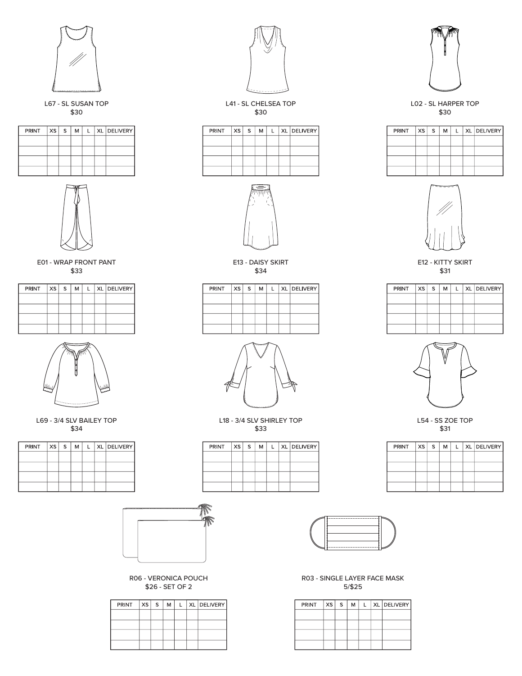

L67 - SL SUSAN TOP \$30

| PRINT | $XS$ $S$ | M | L | XL DELIVERY |
|-------|----------|---|---|-------------|
|       |          |   |   |             |
|       |          |   |   |             |
|       |          |   |   |             |
|       |          |   |   |             |



E01 - WRAP FRONT PANT \$33

| $PRINT$ $ XS S $ |  | M | $\mathbf{1}$ | XL DELIVERY |
|------------------|--|---|--------------|-------------|
|                  |  |   |              |             |
|                  |  |   |              |             |
|                  |  |   |              |             |
|                  |  |   |              |             |



L69 - 3/4 SLV BAILEY TOP \$34

| $PRINT$ $ XS S$ |  |  | XL   DELIVERY |
|-----------------|--|--|---------------|
|                 |  |  |               |
|                 |  |  |               |
|                 |  |  |               |
|                 |  |  |               |



R06 - VERONICA POUCH \$26 - SET OF 2

| $PRINT$ $ XS S$ |  | м | $\mathbf{L}$ | XL   DELIVERY |
|-----------------|--|---|--------------|---------------|
|                 |  |   |              |               |
|                 |  |   |              |               |
|                 |  |   |              |               |
|                 |  |   |              |               |



L41 - SL CHELSEA TOP \$30

| PRINT $ XS S $ |  | M |  | L   XL   DELIVERY |
|----------------|--|---|--|-------------------|
|                |  |   |  |                   |
|                |  |   |  |                   |
|                |  |   |  |                   |
|                |  |   |  |                   |



E13 - DAISY SKIRT \$34

| PRINT   XS   S |  | м | $\mathbf{L}$ | XL   DELIVERY |
|----------------|--|---|--------------|---------------|
|                |  |   |              |               |
|                |  |   |              |               |
|                |  |   |              |               |
|                |  |   |              |               |



L18 - 3/4 SLV SHIRLEY TOP \$33

| PRINT | $XS \mid S$ | м | L. | XL   DELIVERY |
|-------|-------------|---|----|---------------|
|       |             |   |    |               |
|       |             |   |    |               |
|       |             |   |    |               |
|       |             |   |    |               |



R03 - SINGLE LAYER FACE MASK 5/\$25

| PRINT | xs <sub>1</sub> | S. | м | $\mathbf{L}$ | XL DELIVERY |
|-------|-----------------|----|---|--------------|-------------|
|       |                 |    |   |              |             |
|       |                 |    |   |              |             |
|       |                 |    |   |              |             |
|       |                 |    |   |              |             |



L02 - SL HARPER TOP \$30

| PRINT | xs s | м | $\mathbf{L}$ | XL DELIVERY |
|-------|------|---|--------------|-------------|
|       |      |   |              |             |
|       |      |   |              |             |
|       |      |   |              |             |
|       |      |   |              |             |



E12 - KITTY SKIRT \$31

| $PRINT$ $ XS S$ |  | м | $\mathsf{L}$ | XL DELIVERY |
|-----------------|--|---|--------------|-------------|
|                 |  |   |              |             |
|                 |  |   |              |             |
|                 |  |   |              |             |
|                 |  |   |              |             |



L54 - SS ZOE TOP \$31

| PRINT | xs s | M | ı. | XL DELIVERY |
|-------|------|---|----|-------------|
|       |      |   |    |             |
|       |      |   |    |             |
|       |      |   |    |             |
|       |      |   |    |             |